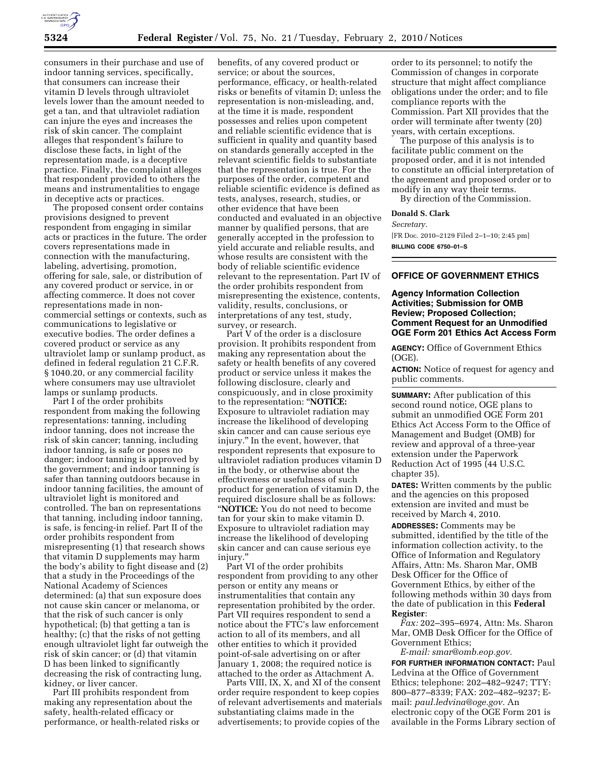

consumers in their purchase and use of indoor tanning services, specifically, that consumers can increase their vitamin D levels through ultraviolet levels lower than the amount needed to get a tan, and that ultraviolet radiation can injure the eyes and increases the risk of skin cancer. The complaint alleges that respondent's failure to disclose these facts, in light of the representation made, is a deceptive practice. Finally, the complaint alleges that respondent provided to others the means and instrumentalities to engage in deceptive acts or practices.

The proposed consent order contains provisions designed to prevent respondent from engaging in similar acts or practices in the future. The order covers representations made in connection with the manufacturing, labeling, advertising, promotion, offering for sale, sale, or distribution of any covered product or service, in or affecting commerce. It does not cover representations made in noncommercial settings or contexts, such as communications to legislative or executive bodies. The order defines a covered product or service as any ultraviolet lamp or sunlamp product, as defined in federal regulation 21 C.F.R. § 1040.20, or any commercial facility where consumers may use ultraviolet lamps or sunlamp products.

Part I of the order prohibits respondent from making the following representations: tanning, including indoor tanning, does not increase the risk of skin cancer; tanning, including indoor tanning, is safe or poses no danger; indoor tanning is approved by the government; and indoor tanning is safer than tanning outdoors because in indoor tanning facilities, the amount of ultraviolet light is monitored and controlled. The ban on representations that tanning, including indoor tanning, is safe, is fencing-in relief. Part II of the order prohibits respondent from misrepresenting (1) that research shows that vitamin D supplements may harm the body's ability to fight disease and (2) that a study in the Proceedings of the National Academy of Sciences determined: (a) that sun exposure does not cause skin cancer or melanoma, or that the risk of such cancer is only hypothetical; (b) that getting a tan is healthy; (c) that the risks of not getting enough ultraviolet light far outweigh the risk of skin cancer; or (d) that vitamin D has been linked to significantly decreasing the risk of contracting lung, kidney, or liver cancer.

Part III prohibits respondent from making any representation about the safety, health-related efficacy or performance, or health-related risks or

benefits, of any covered product or service; or about the sources, performance, efficacy, or health-related risks or benefits of vitamin D; unless the representation is non-misleading, and, at the time it is made, respondent possesses and relies upon competent and reliable scientific evidence that is sufficient in quality and quantity based on standards generally accepted in the relevant scientific fields to substantiate that the representation is true. For the purposes of the order, competent and reliable scientific evidence is defined as tests, analyses, research, studies, or other evidence that have been conducted and evaluated in an objective manner by qualified persons, that are generally accepted in the profession to yield accurate and reliable results, and whose results are consistent with the body of reliable scientific evidence relevant to the representation. Part IV of the order prohibits respondent from misrepresenting the existence, contents, validity, results, conclusions, or interpretations of any test, study, survey, or research.

Part V of the order is a disclosure provision. It prohibits respondent from making any representation about the safety or health benefits of any covered product or service unless it makes the following disclosure, clearly and conspicuously, and in close proximity to the representation: ''**NOTICE:**  Exposure to ultraviolet radiation may increase the likelihood of developing skin cancer and can cause serious eye injury.'' In the event, however, that respondent represents that exposure to ultraviolet radiation produces vitamin D in the body, or otherwise about the effectiveness or usefulness of such product for generation of vitamin D, the required disclosure shall be as follows: ''**NOTICE:** You do not need to become tan for your skin to make vitamin D. Exposure to ultraviolet radiation may increase the likelihood of developing skin cancer and can cause serious eye injury.''

Part VI of the order prohibits respondent from providing to any other person or entity any means or instrumentalities that contain any representation prohibited by the order. Part VII requires respondent to send a notice about the FTC's law enforcement action to all of its members, and all other entities to which it provided point-of-sale advertising on or after January 1, 2008; the required notice is attached to the order as Attachment A.

Parts VIII, IX, X, and XI of the consent order require respondent to keep copies of relevant advertisements and materials substantiating claims made in the advertisements; to provide copies of the

order to its personnel; to notify the Commission of changes in corporate structure that might affect compliance obligations under the order; and to file compliance reports with the Commission. Part XII provides that the order will terminate after twenty (20) years, with certain exceptions.

The purpose of this analysis is to facilitate public comment on the proposed order, and it is not intended to constitute an official interpretation of the agreement and proposed order or to modify in any way their terms.

By direction of the Commission.

#### **Donald S. Clark**

*Secretary.* 

[FR Doc. 2010–2129 Filed 2–1–10; 2:45 pm] **BILLING CODE 6750–01–S** 

# **OFFICE OF GOVERNMENT ETHICS**

# **Agency Information Collection Activities; Submission for OMB Review; Proposed Collection; Comment Request for an Unmodified OGE Form 201 Ethics Act Access Form**

**AGENCY:** Office of Government Ethics (OGE).

**ACTION:** Notice of request for agency and public comments.

**SUMMARY:** After publication of this second round notice, OGE plans to submit an unmodified OGE Form 201 Ethics Act Access Form to the Office of Management and Budget (OMB) for review and approval of a three-year extension under the Paperwork Reduction Act of 1995 (44 U.S.C. chapter 35).

**DATES:** Written comments by the public and the agencies on this proposed extension are invited and must be received by March 4, 2010.

**ADDRESSES:** Comments may be submitted, identified by the title of the information collection activity, to the Office of Information and Regulatory Affairs, Attn: Ms. Sharon Mar, OMB Desk Officer for the Office of Government Ethics, by either of the following methods within 30 days from the date of publication in this **Federal Register**:

*Fax:* 202–395–6974, Attn: Ms. Sharon Mar, OMB Desk Officer for the Office of Government Ethics;

*E-mail: smar@omb.eop.gov.*  **FOR FURTHER INFORMATION CONTACT:** Paul

Ledvina at the Office of Government Ethics; telephone: 202–482–9247; TTY: 800–877–8339; FAX: 202–482–9237; Email: *paul.ledvina@oge.gov.* An electronic copy of the OGE Form 201 is available in the Forms Library section of